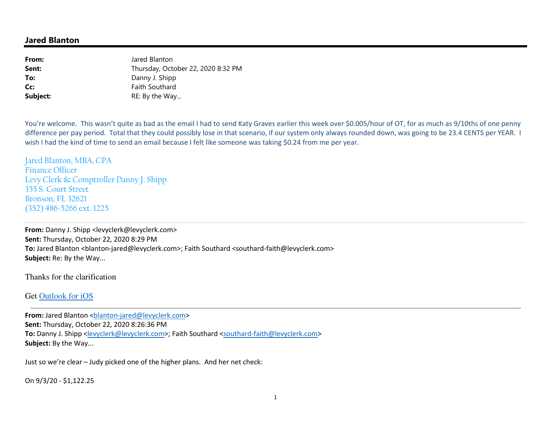## **Jared Blanton**

| From:    | Jared Blanton                      |
|----------|------------------------------------|
| Sent:    | Thursday, October 22, 2020 8:32 PM |
| To:      | Danny J. Shipp                     |
| Cc:      | <b>Faith Southard</b>              |
| Subject: | RE: By the Way                     |

You're welcome. This wasn't quite as bad as the email I had to send Katy Graves earlier this week over \$0.005/hour of OT, for as much as 9/10ths of one penny difference per pay period. Total that they could possibly lose in that scenario, if our system only always rounded down, was going to be 23.4 CENTS per YEAR. I wish I had the kind of time to send an email because I felt like someone was taking \$0.24 from me per year.

Jared Blanton, MBA, CPA Finance Officer Levy Clerk & Comptroller Danny J. Shipp 355 S. Court Street Bronson, FL 32621 (352) 486-5266 ext. 1225

**From:** Danny J. Shipp <levyclerk@levyclerk.com> **Sent:** Thursday, October 22, 2020 8:29 PM To: Jared Blanton <blanton-jared@levyclerk.com>; Faith Southard <southard-faith@levyclerk.com> **Subject:** Re: By the Way...

Thanks for the clarification

## Get Outlook for iOS

**From:** Jared Blanton <br/>blanton-jared@levyclerk.com> **Sent:** Thursday, October 22, 2020 8:26:36 PM **To:** Danny J. Shipp <levyclerk@levyclerk.com>; Faith Southard <southard-faith@levyclerk.com> **Subject:** By the Way...

Just so we're clear – Judy picked one of the higher plans. And her net check:

On 9/3/20 - \$1,122.25